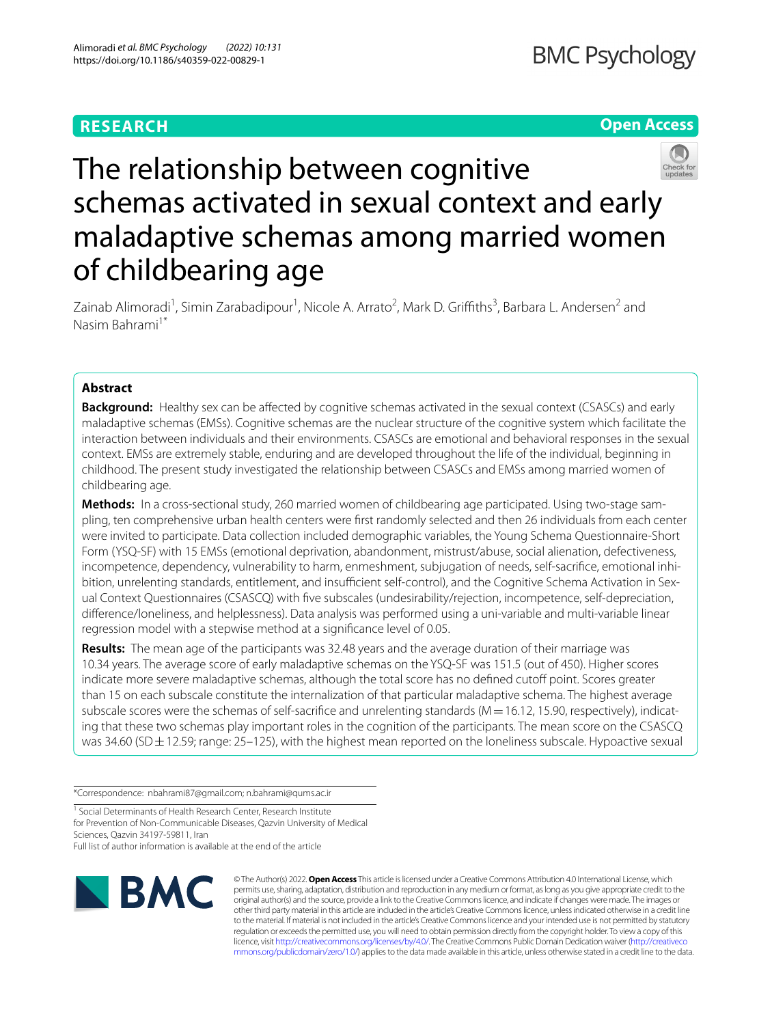## **RESEARCH**

**Open Access**



# The relationship between cognitive schemas activated in sexual context and early maladaptive schemas among married women of childbearing age

Zainab Alimoradi<sup>1</sup>, Simin Zarabadipour<sup>1</sup>, Nicole A. Arrato<sup>2</sup>, Mark D. Griffiths<sup>3</sup>, Barbara L. Andersen<sup>2</sup> and Nasim Bahrami1\*

## **Abstract**

**Background:** Healthy sex can be affected by cognitive schemas activated in the sexual context (CSASCs) and early maladaptive schemas (EMSs). Cognitive schemas are the nuclear structure of the cognitive system which facilitate the interaction between individuals and their environments. CSASCs are emotional and behavioral responses in the sexual context. EMSs are extremely stable, enduring and are developed throughout the life of the individual, beginning in childhood. The present study investigated the relationship between CSASCs and EMSs among married women of childbearing age.

**Methods:** In a cross-sectional study, 260 married women of childbearing age participated. Using two-stage sampling, ten comprehensive urban health centers were frst randomly selected and then 26 individuals from each center were invited to participate. Data collection included demographic variables, the Young Schema Questionnaire-Short Form (YSQ-SF) with 15 EMSs (emotional deprivation, abandonment, mistrust/abuse, social alienation, defectiveness, incompetence, dependency, vulnerability to harm, enmeshment, subjugation of needs, self-sacrifce, emotional inhibition, unrelenting standards, entitlement, and insufficient self-control), and the Cognitive Schema Activation in Sexual Context Questionnaires (CSASCQ) with fve subscales (undesirability/rejection, incompetence, self-depreciation, diference/loneliness, and helplessness). Data analysis was performed using a uni-variable and multi-variable linear regression model with a stepwise method at a signifcance level of 0.05.

**Results:** The mean age of the participants was 32.48 years and the average duration of their marriage was 10.34 years. The average score of early maladaptive schemas on the YSQ-SF was 151.5 (out of 450). Higher scores indicate more severe maladaptive schemas, although the total score has no defined cutoff point. Scores greater than 15 on each subscale constitute the internalization of that particular maladaptive schema. The highest average subscale scores were the schemas of self-sacrifice and unrelenting standards ( $M=16.12$ , 15.90, respectively), indicating that these two schemas play important roles in the cognition of the participants. The mean score on the CSASCQ was 34.60 (SD ± 12.59; range: 25–125), with the highest mean reported on the loneliness subscale. Hypoactive sexual

\*Correspondence: nbahrami87@gmail.com; n.bahrami@qums.ac.ir

<sup>1</sup> Social Determinants of Health Research Center, Research Institute for Prevention of Non-Communicable Diseases, Qazvin University of Medical Sciences, Qazvin 34197-59811, Iran

Full list of author information is available at the end of the article



© The Author(s) 2022. **Open Access** This article is licensed under a Creative Commons Attribution 4.0 International License, which permits use, sharing, adaptation, distribution and reproduction in any medium or format, as long as you give appropriate credit to the original author(s) and the source, provide a link to the Creative Commons licence, and indicate if changes were made. The images or other third party material in this article are included in the article's Creative Commons licence, unless indicated otherwise in a credit line to the material. If material is not included in the article's Creative Commons licence and your intended use is not permitted by statutory regulation or exceeds the permitted use, you will need to obtain permission directly from the copyright holder. To view a copy of this licence, visit [http://creativecommons.org/licenses/by/4.0/.](http://creativecommons.org/licenses/by/4.0/) The Creative Commons Public Domain Dedication waiver ([http://creativeco](http://creativecommons.org/publicdomain/zero/1.0/) [mmons.org/publicdomain/zero/1.0/](http://creativecommons.org/publicdomain/zero/1.0/)) applies to the data made available in this article, unless otherwise stated in a credit line to the data.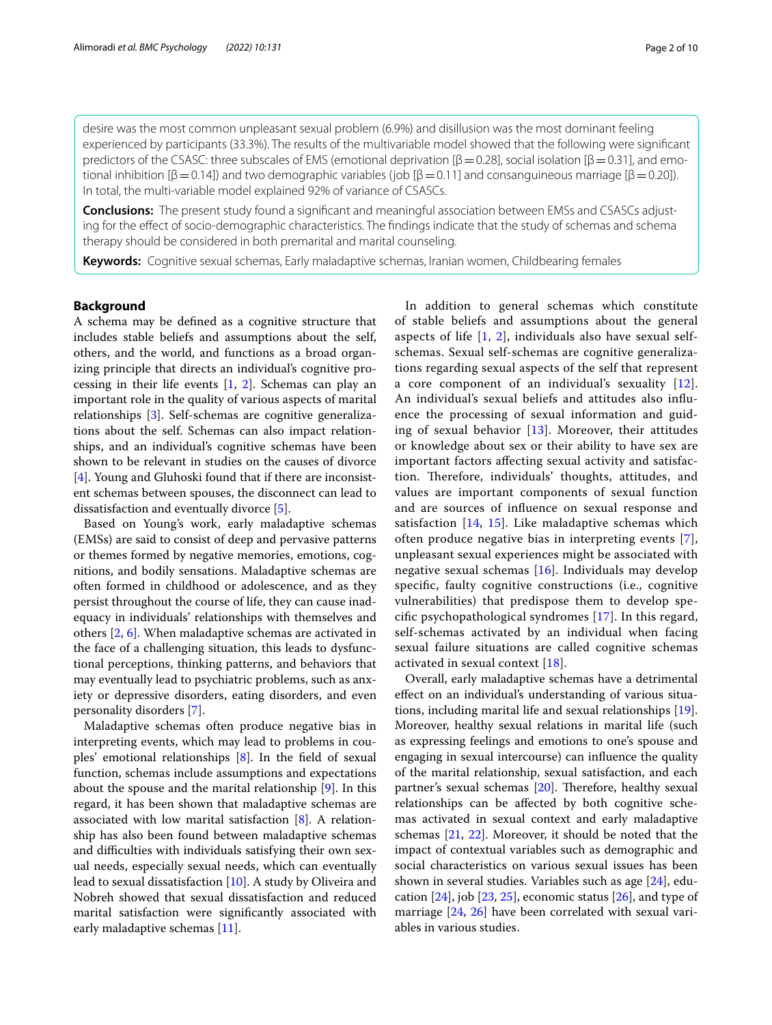desire was the most common unpleasant sexual problem (6.9%) and disillusion was the most dominant feeling experienced by participants (33.3%). The results of the multivariable model showed that the following were signifcant predictors of the CSASC: three subscales of EMS (emotional deprivation  $[\beta = 0.28]$ , social isolation  $[\beta = 0.31]$ , and emotional inhibition [β = 0.14]) and two demographic variables (job [β = 0.11] and consanguineous marriage [β = 0.20]). In total, the multi-variable model explained 92% of variance of CSASCs.

**Conclusions:** The present study found a signifcant and meaningful association between EMSs and CSASCs adjusting for the efect of socio-demographic characteristics. The fndings indicate that the study of schemas and schema therapy should be considered in both premarital and marital counseling.

**Keywords:** Cognitive sexual schemas, Early maladaptive schemas, Iranian women, Childbearing females

## **Background**

A schema may be defned as a cognitive structure that includes stable beliefs and assumptions about the self, others, and the world, and functions as a broad organizing principle that directs an individual's cognitive processing in their life events  $[1, 2]$  $[1, 2]$  $[1, 2]$  $[1, 2]$ . Schemas can play an important role in the quality of various aspects of marital relationships [\[3](#page-8-2)]. Self-schemas are cognitive generalizations about the self. Schemas can also impact relationships, and an individual's cognitive schemas have been shown to be relevant in studies on the causes of divorce [[4\]](#page-8-3). Young and Gluhoski found that if there are inconsistent schemas between spouses, the disconnect can lead to dissatisfaction and eventually divorce [\[5](#page-8-4)].

Based on Young's work, early maladaptive schemas (EMSs) are said to consist of deep and pervasive patterns or themes formed by negative memories, emotions, cognitions, and bodily sensations. Maladaptive schemas are often formed in childhood or adolescence, and as they persist throughout the course of life, they can cause inadequacy in individuals' relationships with themselves and others [\[2](#page-8-1), [6\]](#page-8-5). When maladaptive schemas are activated in the face of a challenging situation, this leads to dysfunctional perceptions, thinking patterns, and behaviors that may eventually lead to psychiatric problems, such as anxiety or depressive disorders, eating disorders, and even personality disorders [[7\]](#page-8-6).

Maladaptive schemas often produce negative bias in interpreting events, which may lead to problems in couples' emotional relationships [\[8](#page-8-7)]. In the feld of sexual function, schemas include assumptions and expectations about the spouse and the marital relationship [[9\]](#page-8-8). In this regard, it has been shown that maladaptive schemas are associated with low marital satisfaction [\[8](#page-8-7)]. A relationship has also been found between maladaptive schemas and difficulties with individuals satisfying their own sexual needs, especially sexual needs, which can eventually lead to sexual dissatisfaction [\[10](#page-8-9)]. A study by Oliveira and Nobreh showed that sexual dissatisfaction and reduced marital satisfaction were signifcantly associated with early maladaptive schemas [[11\]](#page-8-10).

In addition to general schemas which constitute of stable beliefs and assumptions about the general aspects of life [[1,](#page-8-0) [2\]](#page-8-1), individuals also have sexual selfschemas. Sexual self-schemas are cognitive generalizations regarding sexual aspects of the self that represent a core component of an individual's sexuality [[12](#page-8-11)]. An individual's sexual beliefs and attitudes also infuence the processing of sexual information and guiding of sexual behavior [[13\]](#page-8-12). Moreover, their attitudes or knowledge about sex or their ability to have sex are important factors afecting sexual activity and satisfaction. Therefore, individuals' thoughts, attitudes, and values are important components of sexual function and are sources of infuence on sexual response and satisfaction [[14](#page-8-13), [15\]](#page-8-14). Like maladaptive schemas which often produce negative bias in interpreting events [[7](#page-8-6)], unpleasant sexual experiences might be associated with negative sexual schemas [\[16](#page-8-15)]. Individuals may develop specifc, faulty cognitive constructions (i.e., cognitive vulnerabilities) that predispose them to develop specifc psychopathological syndromes [[17\]](#page-8-16). In this regard, self-schemas activated by an individual when facing sexual failure situations are called cognitive schemas activated in sexual context [[18\]](#page-8-17).

Overall, early maladaptive schemas have a detrimental efect on an individual's understanding of various situations, including marital life and sexual relationships [\[19](#page-8-18)]. Moreover, healthy sexual relations in marital life (such as expressing feelings and emotions to one's spouse and engaging in sexual intercourse) can infuence the quality of the marital relationship, sexual satisfaction, and each partner's sexual schemas  $[20]$ . Therefore, healthy sexual relationships can be afected by both cognitive schemas activated in sexual context and early maladaptive schemas [\[21,](#page-8-20) [22](#page-8-21)]. Moreover, it should be noted that the impact of contextual variables such as demographic and social characteristics on various sexual issues has been shown in several studies. Variables such as age [[24\]](#page-9-0), education  $[24]$  $[24]$  $[24]$ , job  $[23, 25]$  $[23, 25]$  $[23, 25]$  $[23, 25]$ , economic status  $[26]$  $[26]$ , and type of marriage [[24,](#page-9-0) [26](#page-9-3)] have been correlated with sexual variables in various studies.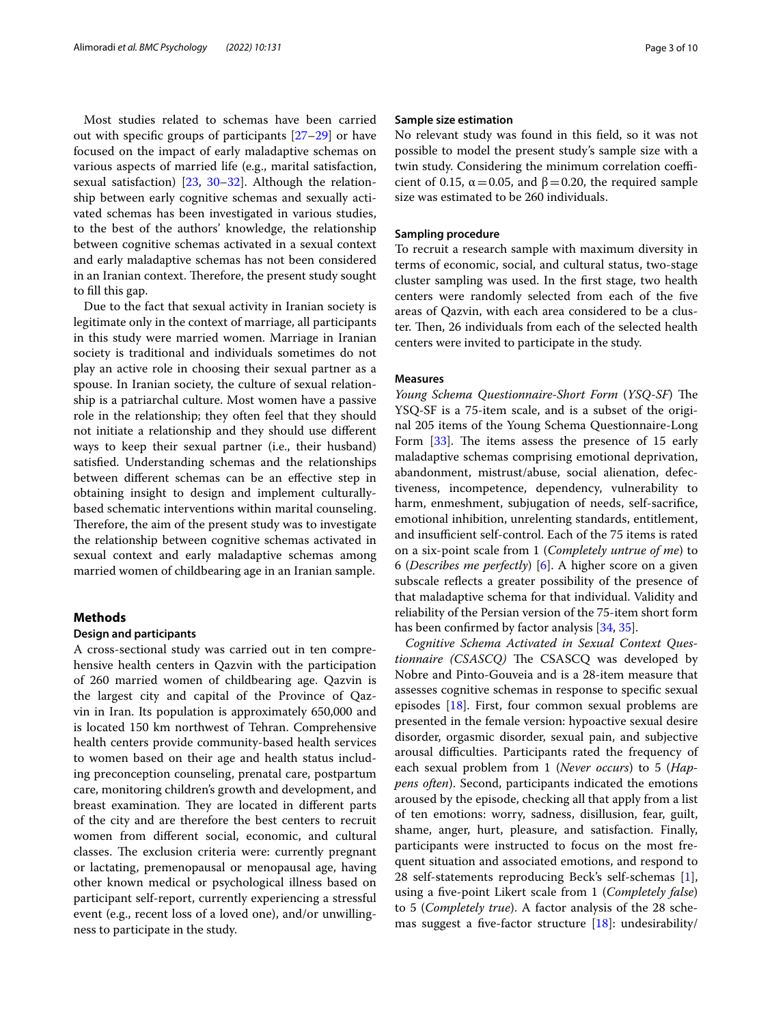Most studies related to schemas have been carried out with specifc groups of participants [[27](#page-9-4)[–29](#page-9-5)] or have focused on the impact of early maladaptive schemas on various aspects of married life (e.g., marital satisfaction, sexual satisfaction) [\[23](#page-9-1), [30–](#page-9-6)[32](#page-9-7)]. Although the relationship between early cognitive schemas and sexually activated schemas has been investigated in various studies, to the best of the authors' knowledge, the relationship between cognitive schemas activated in a sexual context and early maladaptive schemas has not been considered in an Iranian context. Therefore, the present study sought to fll this gap.

Due to the fact that sexual activity in Iranian society is legitimate only in the context of marriage, all participants in this study were married women. Marriage in Iranian society is traditional and individuals sometimes do not play an active role in choosing their sexual partner as a spouse. In Iranian society, the culture of sexual relationship is a patriarchal culture. Most women have a passive role in the relationship; they often feel that they should not initiate a relationship and they should use diferent ways to keep their sexual partner (i.e., their husband) satisfed. Understanding schemas and the relationships between diferent schemas can be an efective step in obtaining insight to design and implement culturallybased schematic interventions within marital counseling. Therefore, the aim of the present study was to investigate the relationship between cognitive schemas activated in sexual context and early maladaptive schemas among married women of childbearing age in an Iranian sample.

## **Methods**

### **Design and participants**

A cross-sectional study was carried out in ten comprehensive health centers in Qazvin with the participation of 260 married women of childbearing age. Qazvin is the largest city and capital of the Province of Qazvin in Iran. Its population is approximately 650,000 and is located 150 km northwest of Tehran. Comprehensive health centers provide community-based health services to women based on their age and health status including preconception counseling, prenatal care, postpartum care, monitoring children's growth and development, and breast examination. They are located in different parts of the city and are therefore the best centers to recruit women from diferent social, economic, and cultural classes. The exclusion criteria were: currently pregnant or lactating, premenopausal or menopausal age, having other known medical or psychological illness based on participant self-report, currently experiencing a stressful event (e.g., recent loss of a loved one), and/or unwillingness to participate in the study.

## **Sample size estimation**

No relevant study was found in this feld, so it was not possible to model the present study's sample size with a twin study. Considering the minimum correlation coefficient of 0.15,  $\alpha$  = 0.05, and  $\beta$  = 0.20, the required sample size was estimated to be 260 individuals.

## **Sampling procedure**

To recruit a research sample with maximum diversity in terms of economic, social, and cultural status, two-stage cluster sampling was used. In the frst stage, two health centers were randomly selected from each of the fve areas of Qazvin, with each area considered to be a cluster. Then, 26 individuals from each of the selected health centers were invited to participate in the study.

## **Measures**

*Young Schema Questionnaire-Short Form* (*YSQ-SF*) The YSQ-SF is a 75-item scale, and is a subset of the original 205 items of the Young Schema Questionnaire-Long Form  $[33]$  $[33]$ . The items assess the presence of 15 early maladaptive schemas comprising emotional deprivation, abandonment, mistrust/abuse, social alienation, defectiveness, incompetence, dependency, vulnerability to harm, enmeshment, subjugation of needs, self-sacrifce, emotional inhibition, unrelenting standards, entitlement, and insufficient self-control. Each of the 75 items is rated on a six-point scale from 1 (*Completely untrue of me*) to 6 (*Describes me perfectly*) [\[6\]](#page-8-5). A higher score on a given subscale refects a greater possibility of the presence of that maladaptive schema for that individual. Validity and reliability of the Persian version of the 75-item short form has been confrmed by factor analysis [\[34,](#page-9-9) [35](#page-9-10)].

*Cognitive Schema Activated in Sexual Context Ques*tionnaire (CSASCQ) The CSASCQ was developed by Nobre and Pinto-Gouveia and is a 28-item measure that assesses cognitive schemas in response to specifc sexual episodes [\[18](#page-8-17)]. First, four common sexual problems are presented in the female version: hypoactive sexual desire disorder, orgasmic disorder, sexual pain, and subjective arousal difculties. Participants rated the frequency of each sexual problem from 1 (*Never occurs*) to 5 (*Happens often*). Second, participants indicated the emotions aroused by the episode, checking all that apply from a list of ten emotions: worry, sadness, disillusion, fear, guilt, shame, anger, hurt, pleasure, and satisfaction. Finally, participants were instructed to focus on the most frequent situation and associated emotions, and respond to 28 self-statements reproducing Beck's self-schemas [\[1](#page-8-0)], using a fve-point Likert scale from 1 (*Completely false*) to 5 (*Completely true*). A factor analysis of the 28 schemas suggest a fve-factor structure [[18\]](#page-8-17): undesirability/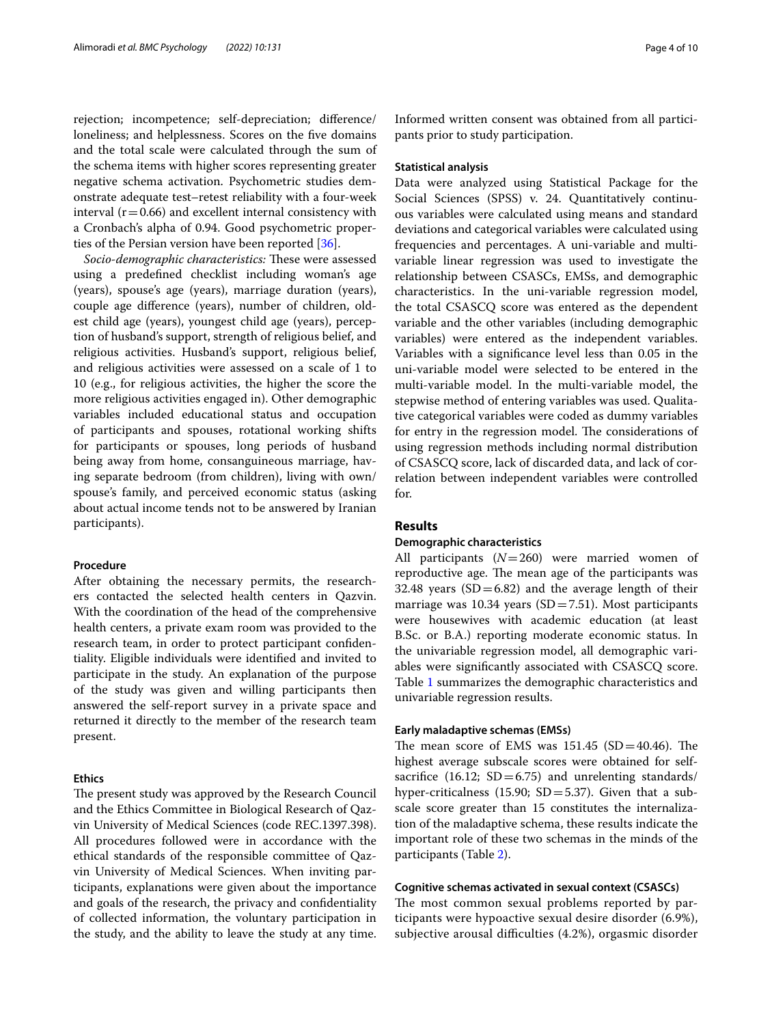rejection; incompetence; self-depreciation; diference/ loneliness; and helplessness. Scores on the five domains and the total scale were calculated through the sum of the schema items with higher scores representing greater negative schema activation. Psychometric studies demonstrate adequate test–retest reliability with a four-week interval ( $r=0.66$ ) and excellent internal consistency with a Cronbach's alpha of 0.94. Good psychometric proper-ties of the Persian version have been reported [[36](#page-9-11)].

Socio-demographic characteristics: These were assessed using a predefned checklist including woman's age (years), spouse's age (years), marriage duration (years), couple age diference (years), number of children, oldest child age (years), youngest child age (years), perception of husband's support, strength of religious belief, and religious activities. Husband's support, religious belief, and religious activities were assessed on a scale of 1 to 10 (e.g., for religious activities, the higher the score the more religious activities engaged in). Other demographic variables included educational status and occupation of participants and spouses, rotational working shifts for participants or spouses, long periods of husband being away from home, consanguineous marriage, having separate bedroom (from children), living with own/ spouse's family, and perceived economic status (asking about actual income tends not to be answered by Iranian participants).

## **Procedure**

After obtaining the necessary permits, the researchers contacted the selected health centers in Qazvin. With the coordination of the head of the comprehensive health centers, a private exam room was provided to the research team, in order to protect participant confdentiality. Eligible individuals were identifed and invited to participate in the study. An explanation of the purpose of the study was given and willing participants then answered the self-report survey in a private space and returned it directly to the member of the research team present.

## **Ethics**

The present study was approved by the Research Council and the Ethics Committee in Biological Research of Qazvin University of Medical Sciences (code REC.1397.398). All procedures followed were in accordance with the ethical standards of the responsible committee of Qazvin University of Medical Sciences. When inviting participants, explanations were given about the importance and goals of the research, the privacy and confdentiality of collected information, the voluntary participation in the study, and the ability to leave the study at any time. Informed written consent was obtained from all participants prior to study participation.

## **Statistical analysis**

Data were analyzed using Statistical Package for the Social Sciences (SPSS) v. 24. Quantitatively continuous variables were calculated using means and standard deviations and categorical variables were calculated using frequencies and percentages. A uni-variable and multivariable linear regression was used to investigate the relationship between CSASCs, EMSs, and demographic characteristics. In the uni-variable regression model, the total CSASCQ score was entered as the dependent variable and the other variables (including demographic variables) were entered as the independent variables. Variables with a signifcance level less than 0.05 in the uni-variable model were selected to be entered in the multi-variable model. In the multi-variable model, the stepwise method of entering variables was used. Qualitative categorical variables were coded as dummy variables for entry in the regression model. The considerations of using regression methods including normal distribution of CSASCQ score, lack of discarded data, and lack of correlation between independent variables were controlled for.

## **Results**

### **Demographic characteristics**

All participants (*N*=260) were married women of reproductive age. The mean age of the participants was 32.48 years  $(SD=6.82)$  and the average length of their marriage was 10.34 years  $(SD=7.51)$ . Most participants were housewives with academic education (at least B.Sc. or B.A.) reporting moderate economic status. In the univariable regression model, all demographic variables were signifcantly associated with CSASCQ score. Table [1](#page-4-0) summarizes the demographic characteristics and univariable regression results.

## **Early maladaptive schemas (EMSs)**

The mean score of EMS was  $151.45$  (SD=40.46). The highest average subscale scores were obtained for selfsacrifice (16.12;  $SD = 6.75$ ) and unrelenting standards/ hyper-criticalness (15.90;  $SD = 5.37$ ). Given that a subscale score greater than 15 constitutes the internalization of the maladaptive schema, these results indicate the important role of these two schemas in the minds of the participants (Table [2\)](#page-5-0).

## **Cognitive schemas activated in sexual context (CSASCs)**

The most common sexual problems reported by participants were hypoactive sexual desire disorder (6.9%), subjective arousal difficulties (4.2%), orgasmic disorder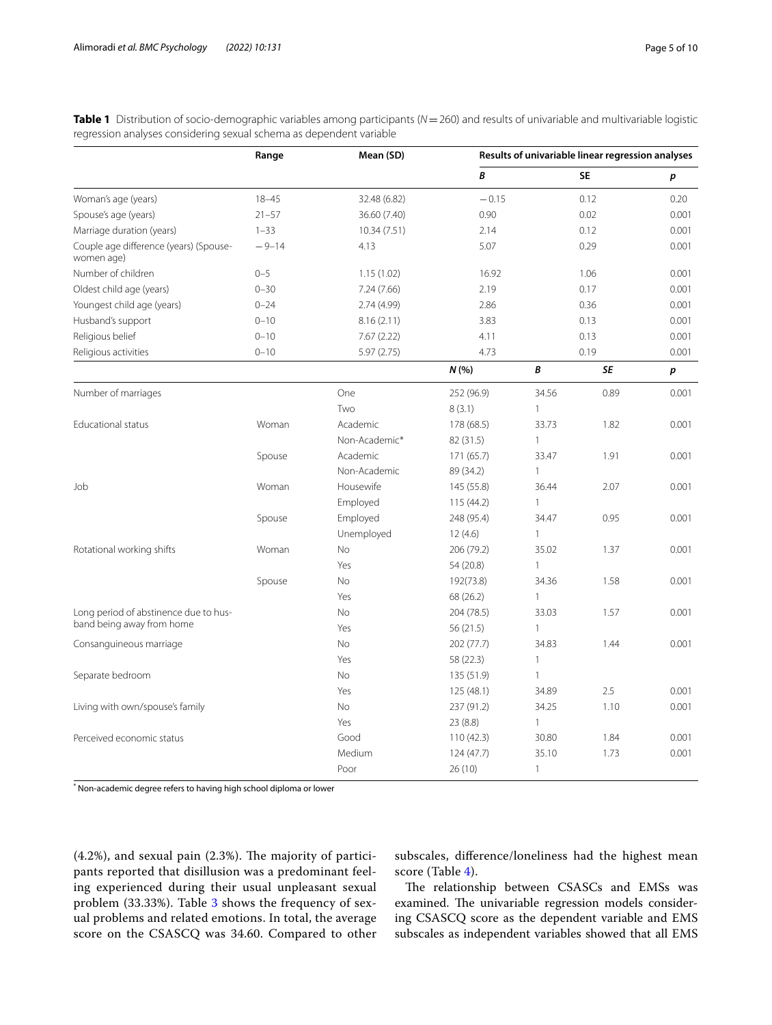| B<br><b>SE</b><br>p<br>Woman's age (years)<br>$18 - 45$<br>$-0.15$<br>0.12<br>0.20<br>32.48 (6.82)<br>0.02<br>Spouse's age (years)<br>$21 - 57$<br>36.60 (7.40)<br>0.90<br>0.001<br>Marriage duration (years)<br>$1 - 33$<br>2.14<br>0.12<br>0.001<br>10.34 (7.51)<br>Couple age difference (years) (Spouse-<br>0.29<br>$-9-14$<br>4.13<br>5.07<br>0.001<br>women age)<br>Number of children<br>$0 - 5$<br>1.06<br>1.15(1.02)<br>16.92<br>0.001<br>Oldest child age (years)<br>$0 - 30$<br>7.24 (7.66)<br>2.19<br>0.17<br>0.001<br>0.36<br>Youngest child age (years)<br>$0 - 24$<br>2.74(4.99)<br>2.86<br>0.001<br>Husband's support<br>$0 - 10$<br>0.13<br>8.16(2.11)<br>3.83<br>0.001<br>Religious belief<br>$0 - 10$<br>0.13<br>0.001<br>7.67(2.22)<br>4.11<br>5.97(2.75)<br>4.73<br>0.19<br>Religious activities<br>$0 - 10$<br>0.001 | Range | Mean (SD) |     | Results of univariable linear regression analyses |    |       |  |
|--------------------------------------------------------------------------------------------------------------------------------------------------------------------------------------------------------------------------------------------------------------------------------------------------------------------------------------------------------------------------------------------------------------------------------------------------------------------------------------------------------------------------------------------------------------------------------------------------------------------------------------------------------------------------------------------------------------------------------------------------------------------------------------------------------------------------------------------|-------|-----------|-----|---------------------------------------------------|----|-------|--|
|                                                                                                                                                                                                                                                                                                                                                                                                                                                                                                                                                                                                                                                                                                                                                                                                                                            |       |           |     |                                                   |    |       |  |
|                                                                                                                                                                                                                                                                                                                                                                                                                                                                                                                                                                                                                                                                                                                                                                                                                                            |       |           |     |                                                   |    |       |  |
|                                                                                                                                                                                                                                                                                                                                                                                                                                                                                                                                                                                                                                                                                                                                                                                                                                            |       |           |     |                                                   |    |       |  |
|                                                                                                                                                                                                                                                                                                                                                                                                                                                                                                                                                                                                                                                                                                                                                                                                                                            |       |           |     |                                                   |    |       |  |
|                                                                                                                                                                                                                                                                                                                                                                                                                                                                                                                                                                                                                                                                                                                                                                                                                                            |       |           |     |                                                   |    |       |  |
|                                                                                                                                                                                                                                                                                                                                                                                                                                                                                                                                                                                                                                                                                                                                                                                                                                            |       |           |     |                                                   |    |       |  |
|                                                                                                                                                                                                                                                                                                                                                                                                                                                                                                                                                                                                                                                                                                                                                                                                                                            |       |           |     |                                                   |    |       |  |
|                                                                                                                                                                                                                                                                                                                                                                                                                                                                                                                                                                                                                                                                                                                                                                                                                                            |       |           |     |                                                   |    |       |  |
|                                                                                                                                                                                                                                                                                                                                                                                                                                                                                                                                                                                                                                                                                                                                                                                                                                            |       |           |     |                                                   |    |       |  |
|                                                                                                                                                                                                                                                                                                                                                                                                                                                                                                                                                                                                                                                                                                                                                                                                                                            |       |           |     |                                                   |    |       |  |
|                                                                                                                                                                                                                                                                                                                                                                                                                                                                                                                                                                                                                                                                                                                                                                                                                                            |       |           |     |                                                   |    |       |  |
|                                                                                                                                                                                                                                                                                                                                                                                                                                                                                                                                                                                                                                                                                                                                                                                                                                            |       |           | N(% | B                                                 | SE | p     |  |
| Number of marriages<br>One<br>252 (96.9)<br>34.56<br>0.89                                                                                                                                                                                                                                                                                                                                                                                                                                                                                                                                                                                                                                                                                                                                                                                  |       |           |     |                                                   |    | 0.001 |  |
| Two<br>8(3.1)<br>1                                                                                                                                                                                                                                                                                                                                                                                                                                                                                                                                                                                                                                                                                                                                                                                                                         |       |           |     |                                                   |    |       |  |
| Educational status<br>Woman<br>Academic<br>178 (68.5)<br>33.73<br>1.82<br>0.001                                                                                                                                                                                                                                                                                                                                                                                                                                                                                                                                                                                                                                                                                                                                                            |       |           |     |                                                   |    |       |  |
| Non-Academic*<br>82 (31.5)<br>$\mathbf{1}$                                                                                                                                                                                                                                                                                                                                                                                                                                                                                                                                                                                                                                                                                                                                                                                                 |       |           |     |                                                   |    |       |  |
| Spouse<br>Academic<br>171 (65.7)<br>33.47<br>1.91<br>0.001                                                                                                                                                                                                                                                                                                                                                                                                                                                                                                                                                                                                                                                                                                                                                                                 |       |           |     |                                                   |    |       |  |
| Non-Academic<br>89 (34.2)<br>1                                                                                                                                                                                                                                                                                                                                                                                                                                                                                                                                                                                                                                                                                                                                                                                                             |       |           |     |                                                   |    |       |  |
| Job<br>Woman<br>Housewife<br>145 (55.8)<br>36.44<br>2.07<br>0.001                                                                                                                                                                                                                                                                                                                                                                                                                                                                                                                                                                                                                                                                                                                                                                          |       |           |     |                                                   |    |       |  |
| Employed<br>115 (44.2)<br>$\mathbf{1}$                                                                                                                                                                                                                                                                                                                                                                                                                                                                                                                                                                                                                                                                                                                                                                                                     |       |           |     |                                                   |    |       |  |
| Employed<br>248 (95.4)<br>34.47<br>0.95<br>0.001<br>Spouse                                                                                                                                                                                                                                                                                                                                                                                                                                                                                                                                                                                                                                                                                                                                                                                 |       |           |     |                                                   |    |       |  |
| Unemployed<br>12(4.6)<br>1                                                                                                                                                                                                                                                                                                                                                                                                                                                                                                                                                                                                                                                                                                                                                                                                                 |       |           |     |                                                   |    |       |  |
| Rotational working shifts<br>Woman<br><b>No</b><br>206 (79.2)<br>35.02<br>1.37<br>0.001                                                                                                                                                                                                                                                                                                                                                                                                                                                                                                                                                                                                                                                                                                                                                    |       |           |     |                                                   |    |       |  |
| Yes<br>54 (20.8)<br>1                                                                                                                                                                                                                                                                                                                                                                                                                                                                                                                                                                                                                                                                                                                                                                                                                      |       |           |     |                                                   |    |       |  |
| Spouse<br>No<br>192(73.8)<br>34.36<br>1.58<br>0.001                                                                                                                                                                                                                                                                                                                                                                                                                                                                                                                                                                                                                                                                                                                                                                                        |       |           |     |                                                   |    |       |  |
| 68 (26.2)<br>Yes<br>1                                                                                                                                                                                                                                                                                                                                                                                                                                                                                                                                                                                                                                                                                                                                                                                                                      |       |           |     |                                                   |    |       |  |
| Long period of abstinence due to hus-<br>204 (78.5)<br>33.03<br>1.57<br><b>No</b><br>0.001                                                                                                                                                                                                                                                                                                                                                                                                                                                                                                                                                                                                                                                                                                                                                 |       |           |     |                                                   |    |       |  |
| band being away from home<br>Yes<br>56(21.5)<br>1                                                                                                                                                                                                                                                                                                                                                                                                                                                                                                                                                                                                                                                                                                                                                                                          |       |           |     |                                                   |    |       |  |
| 34.83<br><b>No</b><br>202 (77.7)<br>0.001<br>Consanguineous marriage<br>1.44                                                                                                                                                                                                                                                                                                                                                                                                                                                                                                                                                                                                                                                                                                                                                               |       |           |     |                                                   |    |       |  |
| Yes<br>58 (22.3)<br>1                                                                                                                                                                                                                                                                                                                                                                                                                                                                                                                                                                                                                                                                                                                                                                                                                      |       |           |     |                                                   |    |       |  |
| Separate bedroom<br>135 (51.9)<br>No<br>$\mathbf{1}$                                                                                                                                                                                                                                                                                                                                                                                                                                                                                                                                                                                                                                                                                                                                                                                       |       |           |     |                                                   |    |       |  |
| 2.5<br>Yes<br>125 (48.1)<br>34.89<br>0.001                                                                                                                                                                                                                                                                                                                                                                                                                                                                                                                                                                                                                                                                                                                                                                                                 |       |           |     |                                                   |    |       |  |
| Living with own/spouse's family<br>237 (91.2)<br>34.25<br>No<br>1.10<br>0.001                                                                                                                                                                                                                                                                                                                                                                                                                                                                                                                                                                                                                                                                                                                                                              |       |           |     |                                                   |    |       |  |
| Yes<br>23 (8.8)<br>1                                                                                                                                                                                                                                                                                                                                                                                                                                                                                                                                                                                                                                                                                                                                                                                                                       |       |           |     |                                                   |    |       |  |
| Perceived economic status<br>Good<br>110 (42.3)<br>30.80<br>1.84<br>0.001                                                                                                                                                                                                                                                                                                                                                                                                                                                                                                                                                                                                                                                                                                                                                                  |       |           |     |                                                   |    |       |  |
| Medium<br>0.001<br>124 (47.7)<br>35.10<br>1.73                                                                                                                                                                                                                                                                                                                                                                                                                                                                                                                                                                                                                                                                                                                                                                                             |       |           |     |                                                   |    |       |  |
| Poor<br>26(10)<br>1                                                                                                                                                                                                                                                                                                                                                                                                                                                                                                                                                                                                                                                                                                                                                                                                                        |       |           |     |                                                   |    |       |  |

<span id="page-4-0"></span>**Table 1** Distribution of socio-demographic variables among participants ( $N=260$ ) and results of univariable and multivariable logistic regression analyses considering sexual schema as dependent variable

\* Non-academic degree refers to having high school diploma or lower

 $(4.2\%)$ , and sexual pain  $(2.3\%)$ . The majority of participants reported that disillusion was a predominant feeling experienced during their usual unpleasant sexual problem (33.33%). Table [3](#page-5-1) shows the frequency of sexual problems and related emotions. In total, the average score on the CSASCQ was 34.60. Compared to other

subscales, diference/loneliness had the highest mean score (Table [4](#page-6-0)).

The relationship between CSASCs and EMSs was examined. The univariable regression models considering CSASCQ score as the dependent variable and EMS subscales as independent variables showed that all EMS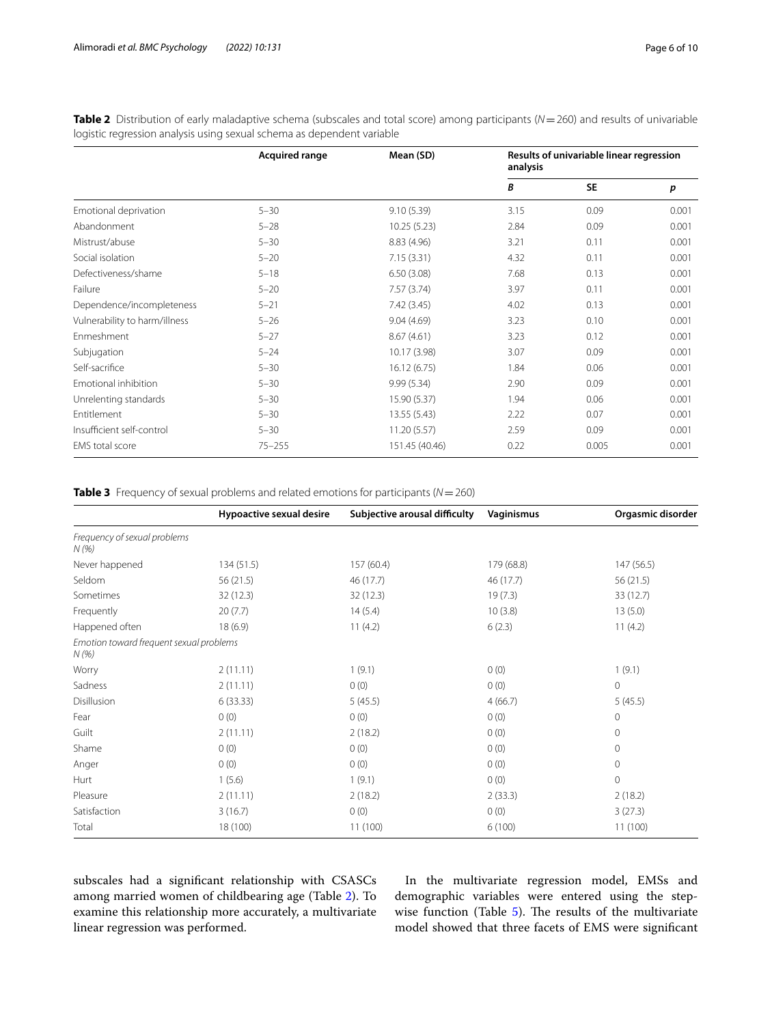|                               | <b>Acquired range</b> | Mean (SD)      | Results of univariable linear regression<br>analysis |           |       |
|-------------------------------|-----------------------|----------------|------------------------------------------------------|-----------|-------|
|                               |                       |                | В                                                    | <b>SE</b> | p     |
| Emotional deprivation         | $5 - 30$              | 9.10(5.39)     | 3.15                                                 | 0.09      | 0.001 |
| Abandonment                   | $5 - 28$              | 10.25(5.23)    | 2.84                                                 | 0.09      | 0.001 |
| Mistrust/abuse                | $5 - 30$              | 8.83 (4.96)    | 3.21                                                 | 0.11      | 0.001 |
| Social isolation              | $5 - 20$              | 7.15(3.31)     | 4.32                                                 | 0.11      | 0.001 |
| Defectiveness/shame           | $5 - 18$              | 6.50(3.08)     | 7.68                                                 | 0.13      | 0.001 |
| Failure                       | $5 - 20$              | 7.57(3.74)     | 3.97                                                 | 0.11      | 0.001 |
| Dependence/incompleteness     | $5 - 21$              | 7.42 (3.45)    | 4.02                                                 | 0.13      | 0.001 |
| Vulnerability to harm/illness | $5 - 26$              | 9.04(4.69)     | 3.23                                                 | 0.10      | 0.001 |
| Enmeshment                    | $5 - 27$              | 8.67(4.61)     | 3.23                                                 | 0.12      | 0.001 |
| Subjugation                   | $5 - 24$              | 10.17 (3.98)   | 3.07                                                 | 0.09      | 0.001 |
| Self-sacrifice                | $5 - 30$              | 16.12(6.75)    | 1.84                                                 | 0.06      | 0.001 |
| Emotional inhibition          | $5 - 30$              | 9.99 (5.34)    | 2.90                                                 | 0.09      | 0.001 |
| Unrelenting standards         | $5 - 30$              | 15.90 (5.37)   | 1.94                                                 | 0.06      | 0.001 |
| Entitlement                   | $5 - 30$              | 13.55 (5.43)   | 2.22                                                 | 0.07      | 0.001 |
| Insufficient self-control     | $5 - 30$              | 11.20(5.57)    | 2.59                                                 | 0.09      | 0.001 |
| EMS total score               | $75 - 255$            | 151.45 (40.46) | 0.22                                                 | 0.005     | 0.001 |

<span id="page-5-0"></span>**Table 2** Distribution of early maladaptive schema (subscales and total score) among participants (N=260) and results of univariable logistic regression analysis using sexual schema as dependent variable

<span id="page-5-1"></span>**Table 3** Frequency of sexual problems and related emotions for participants (*N*=260)

|                                                 | Hypoactive sexual desire | Subjective arousal difficulty | Vaginismus | Orgasmic disorder |
|-------------------------------------------------|--------------------------|-------------------------------|------------|-------------------|
| Frequency of sexual problems<br>N(%)            |                          |                               |            |                   |
| Never happened                                  | 134(51.5)                | 157 (60.4)                    | 179 (68.8) | 147 (56.5)        |
| Seldom                                          | 56 (21.5)                | 46 (17.7)                     | 46 (17.7)  | 56(21.5)          |
| Sometimes                                       | 32 (12.3)                | 32 (12.3)                     | 19(7.3)    | 33 (12.7)         |
| Frequently                                      | 20(7.7)                  | 14(5.4)                       | 10(3.8)    | 13(5.0)           |
| Happened often                                  | 18(6.9)                  | 11(4.2)                       | 6(2.3)     | 11(4.2)           |
| Emotion toward frequent sexual problems<br>N(%) |                          |                               |            |                   |
| Worry                                           | 2(11.11)                 | 1(9.1)                        | 0(0)       | 1(9.1)            |
| Sadness                                         | 2(11.11)                 | 0(0)                          | 0(0)       | $\circ$           |
| Disillusion                                     | 6(33.33)                 | 5(45.5)                       | 4(66.7)    | 5(45.5)           |
| Fear                                            | 0(0)                     | 0(0)                          | 0(0)       | 0                 |
| Guilt                                           | 2(11.11)                 | 2(18.2)                       | 0(0)       | 0                 |
| Shame                                           | 0(0)                     | 0(0)                          | 0(0)       | 0                 |
| Anger                                           | 0(0)                     | 0(0)                          | 0(0)       | $\circ$           |
| Hurt                                            | 1(5.6)                   | 1(9.1)                        | 0(0)       | $\circ$           |
| Pleasure                                        | 2(11.11)                 | 2(18.2)                       | 2(33.3)    | 2(18.2)           |
| Satisfaction                                    | 3(16.7)                  | 0(0)                          | 0(0)       | 3(27.3)           |
| Total                                           | 18 (100)                 | 11(100)                       | 6(100)     | 11(100)           |

subscales had a signifcant relationship with CSASCs among married women of childbearing age (Table [2\)](#page-5-0). To examine this relationship more accurately, a multivariate linear regression was performed.

In the multivariate regression model, EMSs and demographic variables were entered using the stepwise function (Table  $5$ ). The results of the multivariate model showed that three facets of EMS were signifcant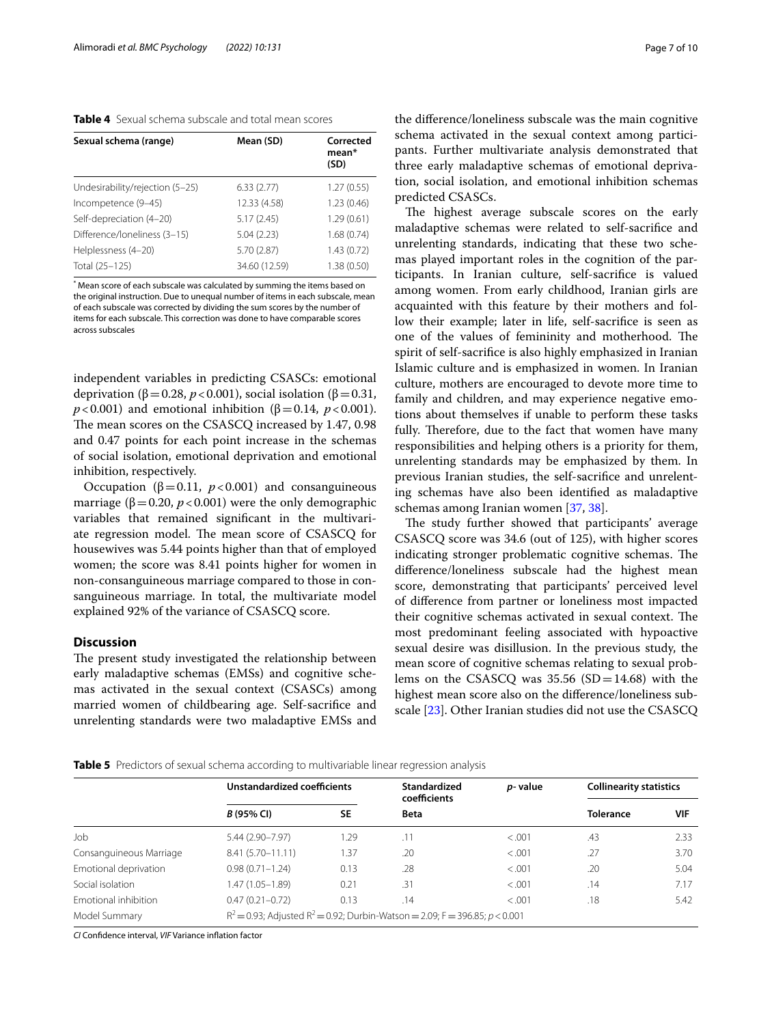<span id="page-6-0"></span>**Table 4** Sexual schema subscale and total mean scores

| Sexual schema (range)           | Mean (SD)     | Corrected<br>mean*<br>(SD) |
|---------------------------------|---------------|----------------------------|
| Undesirability/rejection (5-25) | 6.33(2.77)    | 1.27(0.55)                 |
| Incompetence (9-45)             | 12.33 (4.58)  | 1.23(0.46)                 |
| Self-depreciation (4-20)        | 5.17(2.45)    | 1.29(0.61)                 |
| Difference/loneliness (3-15)    | 5.04(2.23)    | 1.68(0.74)                 |
| Helplessness (4-20)             | 5.70 (2.87)   | 1.43(0.72)                 |
| Total (25-125)                  | 34.60 (12.59) | 1.38(0.50)                 |

\* Mean score of each subscale was calculated by summing the items based on the original instruction. Due to unequal number of items in each subscale, mean of each subscale was corrected by dividing the sum scores by the number of items for each subscale. This correction was done to have comparable scores across subscales

independent variables in predicting CSASCs: emotional deprivation ( $\beta$ =0.28, *p* < 0.001), social isolation ( $\beta$ =0.31,  $p < 0.001$ ) and emotional inhibition ( $\beta = 0.14$ ,  $p < 0.001$ ). The mean scores on the CSASCQ increased by 1.47, 0.98 and 0.47 points for each point increase in the schemas of social isolation, emotional deprivation and emotional inhibition, respectively.

Occupation ( $β = 0.11$ ,  $p < 0.001$ ) and consanguineous marriage ( $\beta$ =0.20, *p* <0.001) were the only demographic variables that remained signifcant in the multivariate regression model. The mean score of CSASCQ for housewives was 5.44 points higher than that of employed women; the score was 8.41 points higher for women in non-consanguineous marriage compared to those in consanguineous marriage. In total, the multivariate model explained 92% of the variance of CSASCQ score.

## **Discussion**

The present study investigated the relationship between early maladaptive schemas (EMSs) and cognitive schemas activated in the sexual context (CSASCs) among married women of childbearing age. Self-sacrifce and unrelenting standards were two maladaptive EMSs and

the diference/loneliness subscale was the main cognitive schema activated in the sexual context among participants. Further multivariate analysis demonstrated that three early maladaptive schemas of emotional deprivation, social isolation, and emotional inhibition schemas predicted CSASCs.

The highest average subscale scores on the early maladaptive schemas were related to self-sacrifce and unrelenting standards, indicating that these two schemas played important roles in the cognition of the participants. In Iranian culture, self-sacrifce is valued among women. From early childhood, Iranian girls are acquainted with this feature by their mothers and follow their example; later in life, self-sacrifce is seen as one of the values of femininity and motherhood. The spirit of self-sacrifce is also highly emphasized in Iranian Islamic culture and is emphasized in women. In Iranian culture, mothers are encouraged to devote more time to family and children, and may experience negative emotions about themselves if unable to perform these tasks fully. Therefore, due to the fact that women have many responsibilities and helping others is a priority for them, unrelenting standards may be emphasized by them. In previous Iranian studies, the self-sacrifce and unrelenting schemas have also been identifed as maladaptive schemas among Iranian women [[37](#page-9-12), [38\]](#page-9-13).

The study further showed that participants' average CSASCQ score was 34.6 (out of 125), with higher scores indicating stronger problematic cognitive schemas. The diference/loneliness subscale had the highest mean score, demonstrating that participants' perceived level of diference from partner or loneliness most impacted their cognitive schemas activated in sexual context. The most predominant feeling associated with hypoactive sexual desire was disillusion. In the previous study, the mean score of cognitive schemas relating to sexual problems on the CSASCQ was  $35.56$  (SD=14.68) with the highest mean score also on the diference/loneliness subscale [\[23\]](#page-9-1). Other Iranian studies did not use the CSASCQ

<span id="page-6-1"></span>**Table 5** Predictors of sexual schema according to multivariable linear regression analysis

|                         | Unstandardized coefficients |           | <b>Standardized</b><br>coefficients                                              | p-value | <b>Collinearity statistics</b> |            |
|-------------------------|-----------------------------|-----------|----------------------------------------------------------------------------------|---------|--------------------------------|------------|
|                         | B (95% CI)                  | <b>SE</b> | Beta                                                                             |         | <b>Tolerance</b>               | <b>VIF</b> |
| Job                     | 5.44 (2.90-7.97)            | 1.29      | .11                                                                              | < 0.001 | .43                            | 2.33       |
| Consanguineous Marriage | $8.41(5.70 - 11.11)$        | 1.37      | .20                                                                              | < 0.001 | .27                            | 3.70       |
| Emotional deprivation   | $0.98(0.71 - 1.24)$         | 0.13      | .28                                                                              | < 0.001 | .20                            | 5.04       |
| Social isolation        | 1.47 (1.05-1.89)            | 0.21      | .31                                                                              | < 0.001 | .14                            | 7.17       |
| Emotional inhibition    | $0.47(0.21 - 0.72)$         | 0.13      | .14                                                                              | < .001  | .18                            | 5.42       |
| Model Summary           |                             |           | $R^2$ = 0.93; Adjusted $R^2$ = 0.92; Durbin-Watson = 2.09; F = 396.85; p < 0.001 |         |                                |            |

*CI* Confdence interval, *VIF* Variance infation factor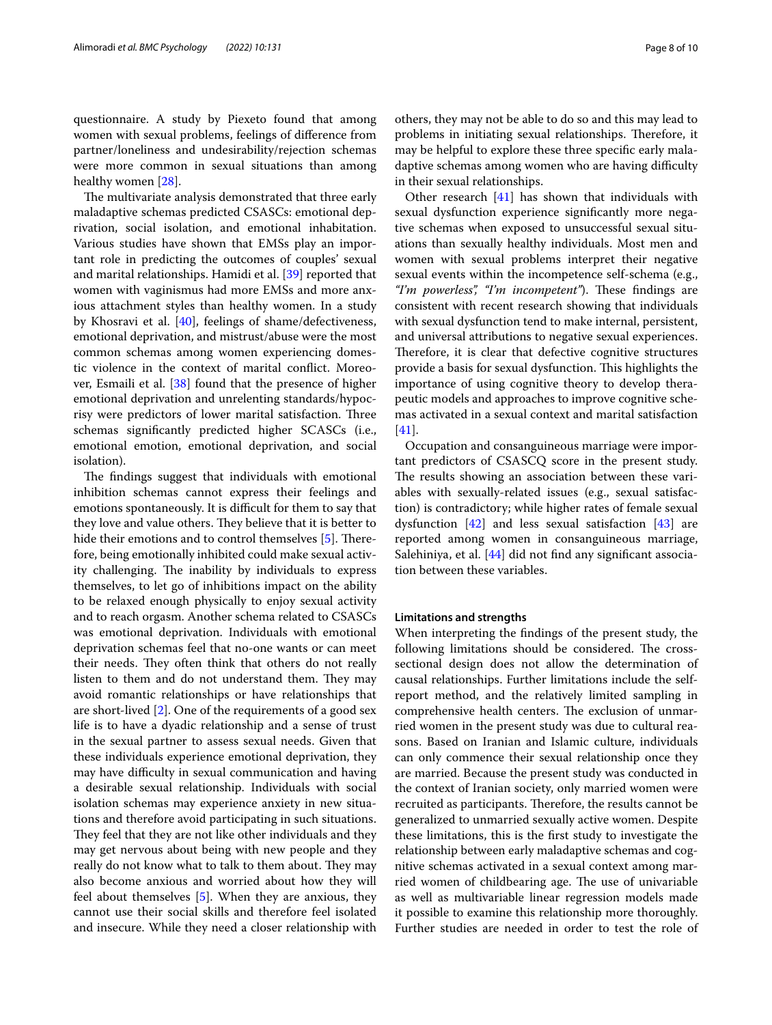questionnaire. A study by Piexeto found that among women with sexual problems, feelings of diference from partner/loneliness and undesirability/rejection schemas were more common in sexual situations than among healthy women [[28](#page-9-14)].

The multivariate analysis demonstrated that three early maladaptive schemas predicted CSASCs: emotional deprivation, social isolation, and emotional inhabitation. Various studies have shown that EMSs play an important role in predicting the outcomes of couples' sexual and marital relationships. Hamidi et al. [\[39\]](#page-9-15) reported that women with vaginismus had more EMSs and more anxious attachment styles than healthy women. In a study by Khosravi et al. [\[40](#page-9-16)], feelings of shame/defectiveness, emotional deprivation, and mistrust/abuse were the most common schemas among women experiencing domestic violence in the context of marital confict. Moreover, Esmaili et al. [\[38\]](#page-9-13) found that the presence of higher emotional deprivation and unrelenting standards/hypocrisy were predictors of lower marital satisfaction. Three schemas signifcantly predicted higher SCASCs (i.e., emotional emotion, emotional deprivation, and social isolation).

The findings suggest that individuals with emotional inhibition schemas cannot express their feelings and emotions spontaneously. It is difficult for them to say that they love and value others. They believe that it is better to hide their emotions and to control themselves  $[5]$  $[5]$ . Therefore, being emotionally inhibited could make sexual activity challenging. The inability by individuals to express themselves, to let go of inhibitions impact on the ability to be relaxed enough physically to enjoy sexual activity and to reach orgasm. Another schema related to CSASCs was emotional deprivation. Individuals with emotional deprivation schemas feel that no-one wants or can meet their needs. They often think that others do not really listen to them and do not understand them. They may avoid romantic relationships or have relationships that are short-lived [[2](#page-8-1)]. One of the requirements of a good sex life is to have a dyadic relationship and a sense of trust in the sexual partner to assess sexual needs. Given that these individuals experience emotional deprivation, they may have difficulty in sexual communication and having a desirable sexual relationship. Individuals with social isolation schemas may experience anxiety in new situations and therefore avoid participating in such situations. They feel that they are not like other individuals and they may get nervous about being with new people and they really do not know what to talk to them about. They may also become anxious and worried about how they will feel about themselves [[5\]](#page-8-4). When they are anxious, they cannot use their social skills and therefore feel isolated and insecure. While they need a closer relationship with others, they may not be able to do so and this may lead to problems in initiating sexual relationships. Therefore, it may be helpful to explore these three specifc early maladaptive schemas among women who are having difficulty in their sexual relationships.

Other research [[41\]](#page-9-17) has shown that individuals with sexual dysfunction experience signifcantly more negative schemas when exposed to unsuccessful sexual situations than sexually healthy individuals. Most men and women with sexual problems interpret their negative sexual events within the incompetence self-schema (e.g., "I'm powerless", "I'm incompetent"). These findings are consistent with recent research showing that individuals with sexual dysfunction tend to make internal, persistent, and universal attributions to negative sexual experiences. Therefore, it is clear that defective cognitive structures provide a basis for sexual dysfunction. This highlights the importance of using cognitive theory to develop therapeutic models and approaches to improve cognitive schemas activated in a sexual context and marital satisfaction [[41\]](#page-9-17).

Occupation and consanguineous marriage were important predictors of CSASCQ score in the present study. The results showing an association between these variables with sexually-related issues (e.g., sexual satisfaction) is contradictory; while higher rates of female sexual dysfunction [[42\]](#page-9-18) and less sexual satisfaction [\[43](#page-9-19)] are reported among women in consanguineous marriage, Salehiniya, et al. [\[44\]](#page-9-20) did not find any significant association between these variables.

## **Limitations and strengths**

When interpreting the fndings of the present study, the following limitations should be considered. The crosssectional design does not allow the determination of causal relationships. Further limitations include the selfreport method, and the relatively limited sampling in comprehensive health centers. The exclusion of unmarried women in the present study was due to cultural reasons. Based on Iranian and Islamic culture, individuals can only commence their sexual relationship once they are married. Because the present study was conducted in the context of Iranian society, only married women were recruited as participants. Therefore, the results cannot be generalized to unmarried sexually active women. Despite these limitations, this is the frst study to investigate the relationship between early maladaptive schemas and cognitive schemas activated in a sexual context among married women of childbearing age. The use of univariable as well as multivariable linear regression models made it possible to examine this relationship more thoroughly. Further studies are needed in order to test the role of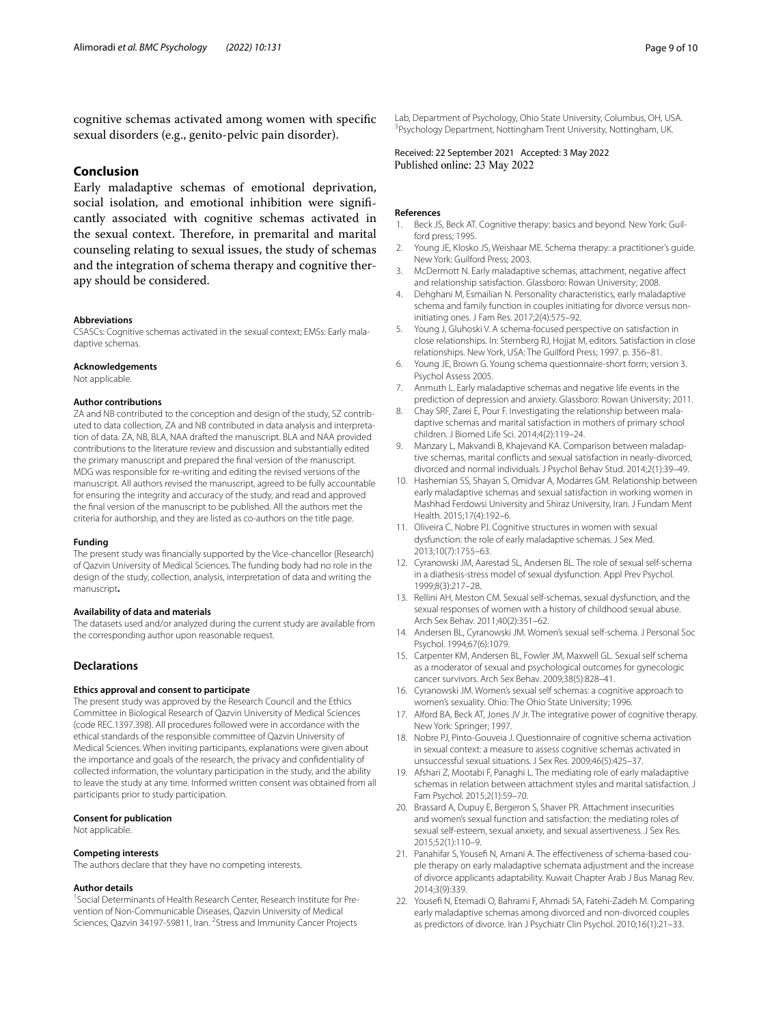cognitive schemas activated among women with specifc sexual disorders (e.g., genito-pelvic pain disorder).

## **Conclusion**

Early maladaptive schemas of emotional deprivation, social isolation, and emotional inhibition were signifcantly associated with cognitive schemas activated in the sexual context. Therefore, in premarital and marital counseling relating to sexual issues, the study of schemas and the integration of schema therapy and cognitive therapy should be considered.

#### **Abbreviations**

CSASCs: Cognitive schemas activated in the sexual context; EMSs: Early maladaptive schemas.

## **Acknowledgements**

Not applicable.

#### **Author contributions**

ZA and NB contributed to the conception and design of the study, SZ contributed to data collection, ZA and NB contributed in data analysis and interpretation of data. ZA, NB, BLA, NAA drafted the manuscript. BLA and NAA provided contributions to the literature review and discussion and substantially edited the primary manuscript and prepared the fnal version of the manuscript. MDG was responsible for re-writing and editing the revised versions of the manuscript. All authors revised the manuscript, agreed to be fully accountable for ensuring the integrity and accuracy of the study, and read and approved the fnal version of the manuscript to be published. All the authors met the criteria for authorship, and they are listed as co-authors on the title page.

#### **Funding**

The present study was fnancially supported by the Vice-chancellor (Research) of Qazvin University of Medical Sciences. The funding body had no role in the design of the study, collection, analysis, interpretation of data and writing the manuscript**.**

#### **Availability of data and materials**

The datasets used and/or analyzed during the current study are available from the corresponding author upon reasonable request.

## **Declarations**

### **Ethics approval and consent to participate**

The present study was approved by the Research Council and the Ethics Committee in Biological Research of Qazvin University of Medical Sciences (code REC.1397.398). All procedures followed were in accordance with the ethical standards of the responsible committee of Qazvin University of Medical Sciences. When inviting participants, explanations were given about the importance and goals of the research, the privacy and confdentiality of collected information, the voluntary participation in the study, and the ability to leave the study at any time. Informed written consent was obtained from all participants prior to study participation.

#### **Consent for publication**

Not applicable.

#### **Competing interests**

The authors declare that they have no competing interests.

#### **Author details**

<sup>1</sup> Social Determinants of Health Research Center, Research Institute for Prevention of Non-Communicable Diseases, Qazvin University of Medical Sciences, Qazvin 34197-59811, Iran. <sup>2</sup> Stress and Immunity Cancer Projects Lab, Department of Psychology, Ohio State University, Columbus, OH, USA. <sup>3</sup> Psychology Department, Nottingham Trent University, Nottingham, UK.

Received: 22 September 2021 Accepted: 3 May 2022

## **References**

- <span id="page-8-0"></span>Beck JS, Beck AT. Cognitive therapy: basics and beyond. New York: Guilford press; 1995.
- <span id="page-8-1"></span>2. Young JE, Klosko JS, Weishaar ME. Schema therapy: a practitioner's guide. New York: Guilford Press; 2003.
- <span id="page-8-2"></span>3. McDermott N. Early maladaptive schemas, attachment, negative afect and relationship satisfaction. Glassboro: Rowan University; 2008.
- <span id="page-8-3"></span>4. Dehghani M, Esmailian N. Personality characteristics, early maladaptive schema and family function in couples initiating for divorce versus noninitiating ones. J Fam Res. 2017;2(4):575–92.
- <span id="page-8-4"></span>5. Young J, Gluhoski V. A schema-focused perspective on satisfaction in close relationships. In: Sternberg RJ, Hojjat M, editors. Satisfaction in close relationships. New York, USA: The Guilford Press; 1997. p. 356–81.
- <span id="page-8-5"></span>6. Young JE, Brown G. Young schema questionnaire-short form; version 3. Psychol Assess 2005.
- <span id="page-8-6"></span>7. Anmuth L. Early maladaptive schemas and negative life events in the prediction of depression and anxiety. Glassboro: Rowan University; 2011.
- <span id="page-8-7"></span>8. Chay SRF, Zarei E, Pour F. Investigating the relationship between maladaptive schemas and marital satisfaction in mothers of primary school children. J Biomed Life Sci. 2014;4(2):119–24.
- <span id="page-8-8"></span>9. Manzary L, Makvandi B, Khajevand KA. Comparison between maladaptive schemas, marital conficts and sexual satisfaction in nearly-divorced, divorced and normal individuals. J Psychol Behav Stud. 2014;2(1):39–49.
- <span id="page-8-9"></span>10. Hashemian SS, Shayan S, Omidvar A, Modarres GM. Relationship between early maladaptive schemas and sexual satisfaction in working women in Mashhad Ferdowsi University and Shiraz University, Iran. J Fundam Ment Health. 2015;17(4):192–6.
- <span id="page-8-10"></span>11. Oliveira C, Nobre PL Cognitive structures in women with sexual dysfunction: the role of early maladaptive schemas. J Sex Med. 2013;10(7):1755–63.
- <span id="page-8-11"></span>12. Cyranowski JM, Aarestad SL, Andersen BL. The role of sexual self-schema in a diathesis-stress model of sexual dysfunction. Appl Prev Psychol. 1999;8(3):217–28.
- <span id="page-8-12"></span>13. Rellini AH, Meston CM. Sexual self-schemas, sexual dysfunction, and the sexual responses of women with a history of childhood sexual abuse. Arch Sex Behav. 2011;40(2):351–62.
- <span id="page-8-13"></span>14. Andersen BL, Cyranowski JM. Women's sexual self-schema. J Personal Soc Psychol. 1994;67(6):1079.
- <span id="page-8-14"></span>15. Carpenter KM, Andersen BL, Fowler JM, Maxwell GL. Sexual self schema as a moderator of sexual and psychological outcomes for gynecologic cancer survivors. Arch Sex Behav. 2009;38(5):828–41.
- <span id="page-8-15"></span>16. Cyranowski JM. Women's sexual self schemas: a cognitive approach to women's sexuality. Ohio: The Ohio State University; 1996.
- <span id="page-8-16"></span>17. Alford BA, Beck AT, Jones JV Jr. The integrative power of cognitive therapy. New York: Springer; 1997.
- <span id="page-8-17"></span>18. Nobre PJ, Pinto-Gouveia J. Questionnaire of cognitive schema activation in sexual context: a measure to assess cognitive schemas activated in unsuccessful sexual situations. J Sex Res. 2009;46(5):425–37.
- <span id="page-8-18"></span>19. Afshari Z, Mootabi F, Panaghi L. The mediating role of early maladaptive schemas in relation between attachment styles and marital satisfaction. J Fam Psychol. 2015;2(1):59–70.
- <span id="page-8-19"></span>20. Brassard A, Dupuy E, Bergeron S, Shaver PR. Attachment insecurities and women's sexual function and satisfaction: the mediating roles of sexual self-esteem, sexual anxiety, and sexual assertiveness. J Sex Res. 2015;52(1):110–9.
- <span id="page-8-20"></span>21. Panahifar S, Yousefi N, Amani A. The effectiveness of schema-based couple therapy on early maladaptive schemata adjustment and the increase of divorce applicants adaptability. Kuwait Chapter Arab J Bus Manag Rev. 2014;3(9):339.
- <span id="page-8-21"></span>22. Yousef N, Etemadi O, Bahrami F, Ahmadi SA, Fatehi-Zadeh M. Comparing early maladaptive schemas among divorced and non-divorced couples as predictors of divorce. Iran J Psychiatr Clin Psychol. 2010;16(1):21–33.